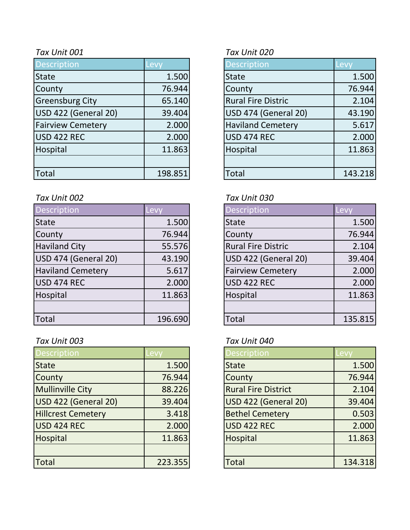| <b>Description</b>       | Levy    | <b>Description</b>        | Levy    |
|--------------------------|---------|---------------------------|---------|
| <b>State</b>             | 1.500   | <b>State</b>              | 1.500   |
| County                   | 76.944  | County                    | 76.944  |
| <b>Greensburg City</b>   | 65.140  | <b>Rural Fire Distric</b> | 2.104   |
| USD 422 (General 20)     | 39.404  | USD 474 (General 20)      | 43.190  |
| <b>Fairview Cemetery</b> | 2.000   | <b>Haviland Cemetery</b>  | 5.617   |
| USD 422 REC              | 2.000   | USD 474 REC               | 2.000   |
| Hospital                 | 11.863  | Hospital                  | 11.863  |
|                          |         |                           |         |
| Total                    | 198.851 | <b>Total</b>              | 143.218 |

### *Tax Unit 002 Tax Unit 030*

| Description              | Levy    | <b>Description</b>          | Levy    |
|--------------------------|---------|-----------------------------|---------|
| <b>State</b>             | 1.500   | <b>State</b>                | 1.500   |
| County                   | 76.944  | County                      | 76.944  |
| <b>Haviland City</b>     | 55.576  | <b>Rural Fire Distric</b>   | 2.104   |
| USD 474 (General 20)     | 43.190  | <b>USD 422 (General 20)</b> | 39.404  |
| <b>Haviland Cemetery</b> | 5.617   | <b>Fairview Cemetery</b>    | 2.000   |
| USD 474 REC              | 2.000   | <b>USD 422 REC</b>          | 2.000   |
| Hospital                 | 11.863  | Hospital                    | 11.863  |
|                          |         |                             |         |
| <b>Total</b>             | 196.690 | Total                       | 135.815 |

## *Tax Unit 003 Tax Unit 040*

| <b>Description</b>        | .evv    | <b>Description</b>         | Levv    |
|---------------------------|---------|----------------------------|---------|
| <b>State</b>              | 1.500   | <b>State</b>               | 1.500   |
| County                    | 76.944  | County                     | 76.944  |
| <b>Mullinville City</b>   | 88.226  | <b>Rural Fire District</b> | 2.104   |
| USD 422 (General 20)      | 39.404  | USD 422 (General 20)       | 39.404  |
| <b>Hillcrest Cemetery</b> | 3.418   | <b>Bethel Cemetery</b>     | 0.503   |
| USD 424 REC               | 2.000   | <b>USD 422 REC</b>         | 2.000   |
| Hospital                  | 11.863  | Hospital                   | 11.863  |
|                           |         |                            |         |
| Total                     | 223.355 | <b>Total</b>               | 134.318 |

## *Tax Unit 001 Tax Unit 020*

| Description                 | Levy    |
|-----------------------------|---------|
| <b>State</b>                | 1.500   |
| County                      | 76.944  |
| <b>Rural Fire Distric</b>   | 2.104   |
| <b>USD 474 (General 20)</b> | 43.190  |
| <b>Haviland Cemetery</b>    | 5.617   |
| <b>USD 474 REC</b>          | 2.000   |
| Hospital                    | 11.863  |
|                             |         |
| <b>Total</b>                | 143.218 |

| <b>Description</b>        | <b>Lev</b> |
|---------------------------|------------|
| <b>State</b>              | 1.500      |
| County                    | 76.944     |
| <b>Rural Fire Distric</b> | 2.104      |
| USD 422 (General 20)      | 39.404     |
| <b>Fairview Cemetery</b>  | 2.000      |
| USD 422 REC               | 2.000      |
| Hospital                  | 11.863     |
|                           |            |
| Total                     | 135.815    |

| <b>Description</b>         | Levv    |
|----------------------------|---------|
| <b>State</b>               | 1.500   |
| County                     | 76.944  |
| <b>Rural Fire District</b> | 2.104   |
| USD 422 (General 20)       | 39.404  |
| <b>Bethel Cemetery</b>     | 0.503   |
| <b>USD 422 REC</b>         | 2.000   |
| Hospital                   | 11.863  |
|                            |         |
| <b>Total</b>               | 134.318 |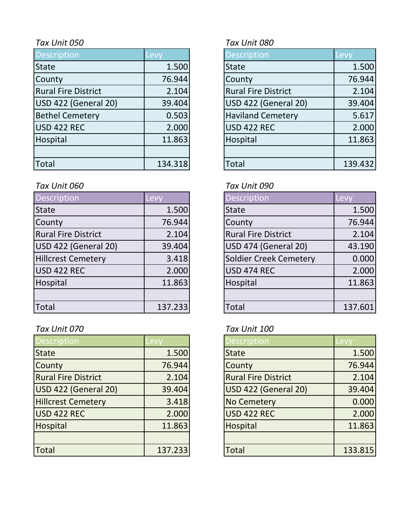| Description                | Levy    | <b>Description</b>         | Levy    |
|----------------------------|---------|----------------------------|---------|
| <b>State</b>               | 1.500   | <b>State</b>               | 1.500   |
| County                     | 76.944  | County                     | 76.944  |
| <b>Rural Fire District</b> | 2.104   | <b>Rural Fire District</b> | 2.104   |
| USD 422 (General 20)       | 39.404  | USD 422 (General 20)       | 39.404  |
| <b>Bethel Cemetery</b>     | 0.503   | <b>Haviland Cemetery</b>   | 5.617   |
| USD 422 REC                | 2.000   | <b>USD 422 REC</b>         | 2.000   |
| Hospital                   | 11.863  | Hospital                   | 11.863  |
|                            |         |                            |         |
| <b>Total</b>               | 134.318 | <b>Total</b>               | 139.432 |

## *Tax Unit 060 Tax Unit 090*

| Description                | Levy    | <b>Description</b>         | Levy    |
|----------------------------|---------|----------------------------|---------|
| <b>State</b>               | 1.500   | <b>State</b>               | 1.500   |
| County                     | 76.944  | County                     | 76.944  |
| <b>Rural Fire District</b> | 2.104   | <b>Rural Fire District</b> | 2.104   |
| USD 422 (General 20)       | 39.404  | USD 474 (General 20)       | 43.190  |
| <b>Hillcrest Cemetery</b>  | 3.418   | Soldier Creek Cemetery     | 0.000   |
| USD 422 REC                | 2.000   | <b>USD 474 REC</b>         | 2.000   |
| Hospital                   | 11.863  | Hospital                   | 11.863  |
|                            |         |                            |         |
| <b>Total</b>               | 137.233 | Total                      | 137.601 |

# *Tax Unit 070 Tax Unit 100*

| <b>Description</b>         | evy.    | <b>Description</b>         | -evy    |
|----------------------------|---------|----------------------------|---------|
| <b>State</b>               | 1.500   | <b>State</b>               | 1.500   |
| County                     | 76.944  | County                     | 76.944  |
| <b>Rural Fire District</b> | 2.104   | <b>Rural Fire District</b> | 2.104   |
| USD 422 (General 20)       | 39.404  | USD 422 (General 20)       | 39.404  |
| <b>Hillcrest Cemetery</b>  | 3.418   | <b>No Cemetery</b>         | 0.000   |
| USD 422 REC                | 2.000   | USD 422 REC                | 2.000   |
| Hospital                   | 11.863  | Hospital                   | 11.863  |
|                            |         |                            |         |
| <b>Total</b>               | 137.233 | <b>Total</b>               | 133.815 |

# *Tax Unit 050 Tax Unit 080*

| <b>Description</b>          | Levy    |
|-----------------------------|---------|
| <b>State</b>                | 1.500   |
| County                      | 76.944  |
| <b>Rural Fire District</b>  | 2.104   |
| <b>USD 422 (General 20)</b> | 39.404  |
| <b>Haviland Cemetery</b>    | 5.617   |
| <b>USD 422 REC</b>          | 2.000   |
| Hospital                    | 11.863  |
|                             |         |
| ัดtal                       | 139.432 |

| Description                   | Levy    |
|-------------------------------|---------|
| <b>State</b>                  | 1.500   |
| County                        | 76.944  |
| <b>Rural Fire District</b>    | 2.104   |
| <b>USD 474 (General 20)</b>   | 43.190  |
| <b>Soldier Creek Cemetery</b> | 0.000   |
| <b>USD 474 REC</b>            | 2.000   |
| Hospital                      | 11.863  |
|                               |         |
| Total                         | 137.601 |

| <b>Description</b>         | Levy    |
|----------------------------|---------|
| <b>State</b>               | 1.500   |
| County                     | 76.944  |
| <b>Rural Fire District</b> | 2.104   |
| USD 422 (General 20)       | 39.404  |
| <b>No Cemetery</b>         | 0.000   |
| <b>USD 422 REC</b>         | 2.000   |
| Hospital                   | 11.863  |
|                            |         |
| Total                      | 133.815 |